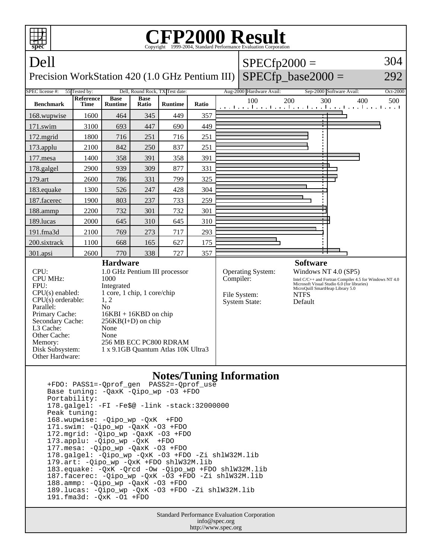

 Peak tuning: 168.wupwise: -Qipo\_wp -QxK +FDO 171.swim: -Qipo\_wp -QaxK -O3 +FDO 172.mgrid: -Qipo\_wp -QaxK -O3 +FDO 173.applu: -Qipo\_wp -QxK +FDO 177.mesa: -Qipo\_wp -QaxK -O3 +FDO 178.galgel: -Qipo\_wp -QxK -O3 +FDO -Zi shlW32M.lib 179.art: -Qipo\_wp -QxK +FDO shlW32M.lib 183.equake: -QxK -Qrcd -Ow -Qipo\_wp +FDO shlW32M.lib 187.facerec: -Qipo\_wp -QxK -O3 +FDO -Zi shlW32M.lib 188.ammp: -Qipo\_wp -QaxK -O3 +FDO 189.lucas: -Qipo\_wp -QxK -O3 +FDO -Zi shlW32M.lib 191.fma3d: -QxK -O1 +FDO

> Standard Performance Evaluation Corporation info@spec.org http://www.spec.org